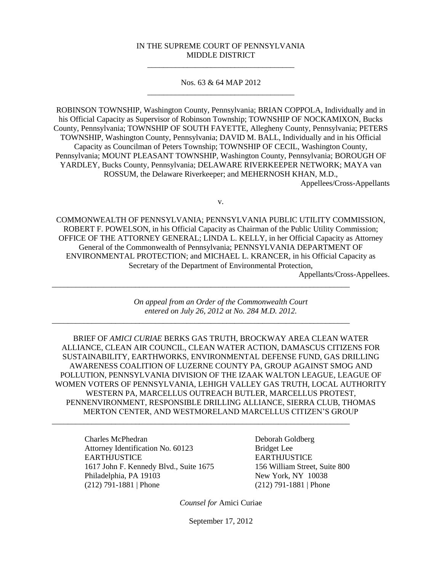#### IN THE SUPREME COURT OF PENNSYLVANIA MIDDLE DISTRICT \_\_\_\_\_\_\_\_\_\_\_\_\_\_\_\_\_\_\_\_\_\_\_\_\_\_\_\_\_\_\_\_\_\_\_\_\_

Nos. 63 & 64 MAP 2012 \_\_\_\_\_\_\_\_\_\_\_\_\_\_\_\_\_\_\_\_\_\_\_\_\_\_\_\_\_\_\_\_\_\_\_\_\_

ROBINSON TOWNSHIP, Washington County, Pennsylvania; BRIAN COPPOLA, Individually and in his Official Capacity as Supervisor of Robinson Township; TOWNSHIP OF NOCKAMIXON, Bucks County, Pennsylvania; TOWNSHIP OF SOUTH FAYETTE, Allegheny County, Pennsylvania; PETERS TOWNSHIP, Washington County, Pennsylvania; DAVID M. BALL, Individually and in his Official Capacity as Councilman of Peters Township; TOWNSHIP OF CECIL, Washington County, Pennsylvania; MOUNT PLEASANT TOWNSHIP, Washington County, Pennsylvania; BOROUGH OF YARDLEY, Bucks County, Pennsylvania; DELAWARE RIVERKEEPER NETWORK; MAYA van ROSSUM, the Delaware Riverkeeper; and MEHERNOSH KHAN, M.D., Appellees/Cross-Appellants

v.

COMMONWEALTH OF PENNSYLVANIA; PENNSYLVANIA PUBLIC UTILITY COMMISSION, ROBERT F. POWELSON, in his Official Capacity as Chairman of the Public Utility Commission; OFFICE OF THE ATTORNEY GENERAL; LINDA L. KELLY, in her Official Capacity as Attorney General of the Commonwealth of Pennsylvania; PENNSYLVANIA DEPARTMENT OF ENVIRONMENTAL PROTECTION; and MICHAEL L. KRANCER, in his Official Capacity as Secretary of the Department of Environmental Protection,

Appellants/Cross-Appellees.

*On appeal from an Order of the Commonwealth Court entered on July 26, 2012 at No. 284 M.D. 2012.*

\_\_\_\_\_\_\_\_\_\_\_\_\_\_\_\_\_\_\_\_\_\_\_\_\_\_\_\_\_\_\_\_\_\_\_\_\_\_\_\_\_\_\_\_\_\_\_\_\_\_\_\_\_\_\_\_\_\_\_\_\_\_\_\_\_\_\_\_\_\_\_\_\_\_\_

\_\_\_\_\_\_\_\_\_\_\_\_\_\_\_\_\_\_\_\_\_\_\_\_\_\_\_\_\_\_\_\_\_\_\_\_\_\_\_\_\_\_\_\_\_\_\_\_\_\_\_\_\_\_\_\_\_\_\_\_\_\_\_\_\_\_\_\_\_\_\_\_\_\_\_

\_\_\_\_\_\_\_\_\_\_\_\_\_\_\_\_\_\_\_\_\_\_\_\_\_\_\_\_\_\_\_\_\_\_\_\_\_\_\_\_\_\_\_\_\_\_\_\_\_\_\_\_\_\_\_\_\_\_\_\_\_\_\_\_\_\_\_\_\_\_\_\_\_\_\_

BRIEF OF *AMICI CURIAE* BERKS GAS TRUTH, BROCKWAY AREA CLEAN WATER ALLIANCE, CLEAN AIR COUNCIL, CLEAN WATER ACTION, DAMASCUS CITIZENS FOR SUSTAINABILITY, EARTHWORKS, ENVIRONMENTAL DEFENSE FUND, GAS DRILLING AWARENESS COALITION OF LUZERNE COUNTY PA, GROUP AGAINST SMOG AND POLLUTION, PENNSYLVANIA DIVISION OF THE IZAAK WALTON LEAGUE, LEAGUE OF WOMEN VOTERS OF PENNSYLVANIA, LEHIGH VALLEY GAS TRUTH, LOCAL AUTHORITY WESTERN PA, MARCELLUS OUTREACH BUTLER, MARCELLUS PROTEST, PENNENVIRONMENT, RESPONSIBLE DRILLING ALLIANCE, SIERRA CLUB, THOMAS MERTON CENTER, AND WESTMORELAND MARCELLUS CITIZEN'S GROUP

Charles McPhedran Attorney Identification No. 60123 EARTHJUSTICE 1617 John F. Kennedy Blvd., Suite 1675 Philadelphia, PA 19103 (212) 791-1881 | Phone

Deborah Goldberg Bridget Lee **EARTHJUSTICE** 156 William Street, Suite 800 New York, NY 10038 (212) 791-1881 | Phone

*Counsel for* Amici Curiae

September 17, 2012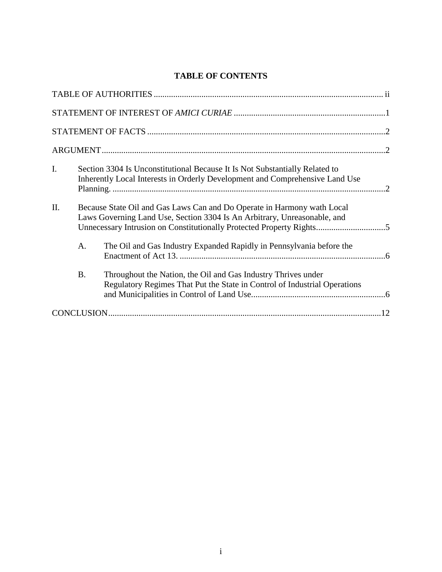# **TABLE OF CONTENTS**

| I.  |           | Section 3304 Is Unconstitutional Because It Is Not Substantially Related to<br>Inherently Local Interests in Orderly Development and Comprehensive Land Use                                                                 |  |  |
|-----|-----------|-----------------------------------------------------------------------------------------------------------------------------------------------------------------------------------------------------------------------------|--|--|
| II. |           | Because State Oil and Gas Laws Can and Do Operate in Harmony wath Local<br>Laws Governing Land Use, Section 3304 Is An Arbitrary, Unreasonable, and<br>Unnecessary Intrusion on Constitutionally Protected Property Rights5 |  |  |
|     | A.        | The Oil and Gas Industry Expanded Rapidly in Pennsylvania before the                                                                                                                                                        |  |  |
|     | <b>B.</b> | Throughout the Nation, the Oil and Gas Industry Thrives under<br>Regulatory Regimes That Put the State in Control of Industrial Operations                                                                                  |  |  |
|     |           |                                                                                                                                                                                                                             |  |  |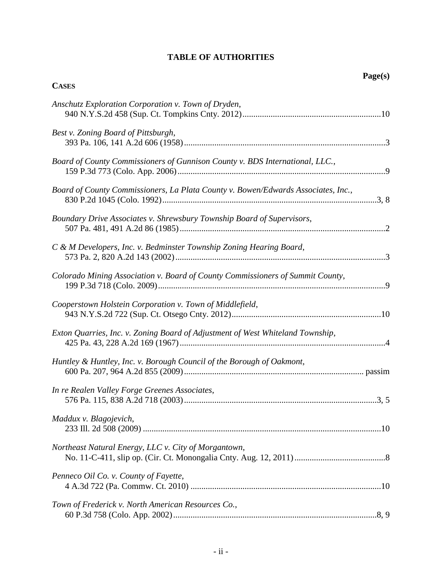# **TABLE OF AUTHORITIES**

<span id="page-2-0"></span>

|                                                                                   | Page(s) |
|-----------------------------------------------------------------------------------|---------|
| <b>CASES</b>                                                                      |         |
| Anschutz Exploration Corporation v. Town of Dryden,                               |         |
| Best v. Zoning Board of Pittsburgh,                                               |         |
| Board of County Commissioners of Gunnison County v. BDS International, LLC.,      |         |
| Board of County Commissioners, La Plata County v. Bowen/Edwards Associates, Inc., |         |
| Boundary Drive Associates v. Shrewsbury Township Board of Supervisors,            |         |
| C & M Developers, Inc. v. Bedminster Township Zoning Hearing Board,               |         |
| Colorado Mining Association v. Board of County Commissioners of Summit County,    |         |
| Cooperstown Holstein Corporation v. Town of Middlefield,                          |         |
| Exton Quarries, Inc. v. Zoning Board of Adjustment of West Whiteland Township,    |         |
| Huntley & Huntley, Inc. v. Borough Council of the Borough of Oakmont,             |         |
| In re Realen Valley Forge Greenes Associates,                                     |         |
| Maddux v. Blagojevich,                                                            |         |
| Northeast Natural Energy, LLC v. City of Morgantown,                              |         |
| Penneco Oil Co. v. County of Fayette,                                             |         |
| Town of Frederick v. North American Resources Co.,                                |         |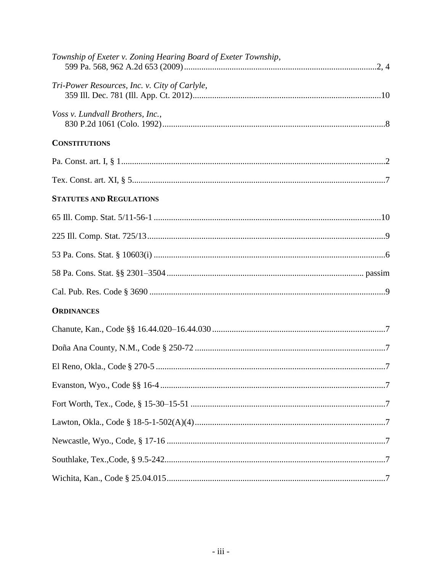| Township of Exeter v. Zoning Hearing Board of Exeter Township, |
|----------------------------------------------------------------|
| Tri-Power Resources, Inc. v. City of Carlyle,                  |
| Voss v. Lundvall Brothers, Inc.,                               |
| <b>CONSTITUTIONS</b>                                           |
|                                                                |
|                                                                |
| <b>STATUTES AND REGULATIONS</b>                                |
|                                                                |
|                                                                |
|                                                                |
|                                                                |
|                                                                |
| <b>ORDINANCES</b>                                              |
|                                                                |
|                                                                |
|                                                                |
|                                                                |
|                                                                |
|                                                                |
|                                                                |
|                                                                |
|                                                                |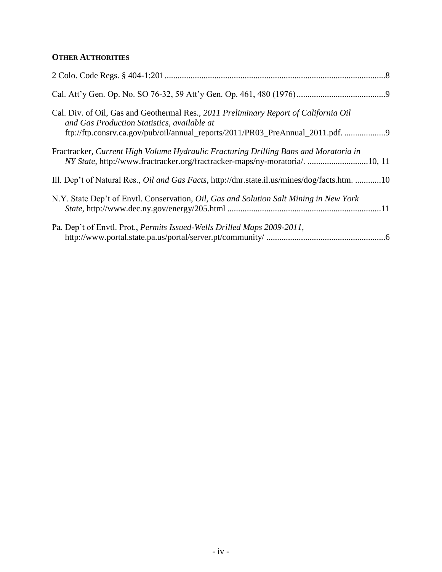# **OTHER AUTHORITIES**

| Cal. Div. of Oil, Gas and Geothermal Res., 2011 Preliminary Report of California Oil<br>and Gas Production Statistics, available at<br>ftp://ftp.consrv.ca.gov/pub/oil/annual_reports/2011/PR03_PreAnnual_2011.pdf. 9 |
|-----------------------------------------------------------------------------------------------------------------------------------------------------------------------------------------------------------------------|
| Fractracker, Current High Volume Hydraulic Fracturing Drilling Bans and Moratoria in                                                                                                                                  |
| Ill. Dep't of Natural Res., <i>Oil and Gas Facts</i> , http://dnr.state.il.us/mines/dog/facts.htm. 10                                                                                                                 |
| N.Y. State Dep't of Envtl. Conservation, Oil, Gas and Solution Salt Mining in New York                                                                                                                                |
| Pa. Dep't of Envtl. Prot., Permits Issued-Wells Drilled Maps 2009-2011,                                                                                                                                               |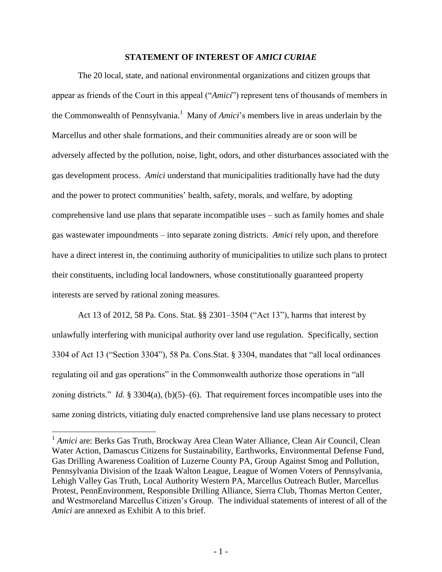## **STATEMENT OF INTEREST OF** *AMICI CURIAE*

<span id="page-5-0"></span>The 20 local, state, and national environmental organizations and citizen groups that appear as friends of the Court in this appeal ("*Amici*") represent tens of thousands of members in the Commonwealth of Pennsylvania.<sup>1</sup> Many of *Amici*'s members live in areas underlain by the Marcellus and other shale formations, and their communities already are or soon will be adversely affected by the pollution, noise, light, odors, and other disturbances associated with the gas development process. *Amici* understand that municipalities traditionally have had the duty and the power to protect communities' health, safety, morals, and welfare, by adopting comprehensive land use plans that separate incompatible uses – such as family homes and shale gas wastewater impoundments – into separate zoning districts. *Amici* rely upon, and therefore have a direct interest in, the continuing authority of municipalities to utilize such plans to protect their constituents, including local landowners, whose constitutionally guaranteed property interests are served by rational zoning measures.

Act 13 of 2012, 58 Pa. Cons. Stat. §§ 2301–3504 ("Act 13"), harms that interest by unlawfully interfering with municipal authority over land use regulation. Specifically, section 3304 of Act 13 ("Section 3304"), 58 Pa. Cons.Stat. § 3304, mandates that "all local ordinances regulating oil and gas operations" in the Commonwealth authorize those operations in "all zoning districts." *Id.* § 3304(a), (b)(5)–(6). That requirement forces incompatible uses into the same zoning districts, vitiating duly enacted comprehensive land use plans necessary to protect

 $\overline{a}$ 

<sup>&</sup>lt;sup>1</sup> Amici are: Berks Gas Truth, Brockway Area Clean Water Alliance, Clean Air Council, Clean Water Action, Damascus Citizens for Sustainability, Earthworks, Environmental Defense Fund, Gas Drilling Awareness Coalition of Luzerne County PA, Group Against Smog and Pollution, Pennsylvania Division of the Izaak Walton League, League of Women Voters of Pennsylvania, Lehigh Valley Gas Truth, Local Authority Western PA, Marcellus Outreach Butler, Marcellus Protest, PennEnvironment, Responsible Drilling Alliance, Sierra Club, Thomas Merton Center, and Westmoreland Marcellus Citizen"s Group. The individual statements of interest of all of the *Amici* are annexed as Exhibit A to this brief.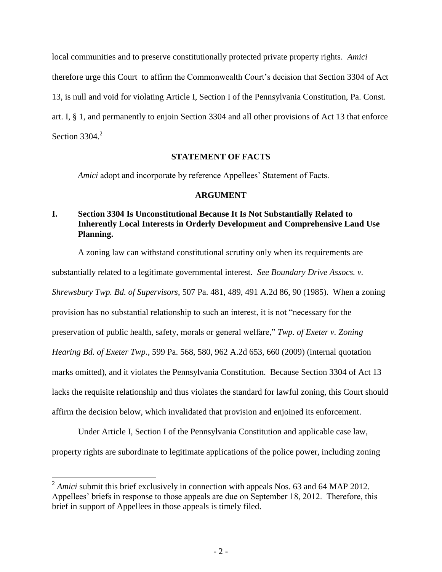local communities and to preserve constitutionally protected private property rights. *Amici* therefore urge this Court to affirm the Commonwealth Court"s decision that Section 3304 of Act 13, is null and void for violating Article I, Section I of the Pennsylvania Constitution, Pa. Const. art. I, § 1, and permanently to enjoin Section 3304 and all other provisions of Act 13 that enforce Section 3304.<sup>2</sup>

# **STATEMENT OF FACTS**

<span id="page-6-0"></span>*Amici* adopt and incorporate by reference Appellees' Statement of Facts.

# <span id="page-6-5"></span><span id="page-6-4"></span><span id="page-6-3"></span>**ARGUMENT**

# <span id="page-6-2"></span><span id="page-6-1"></span>**I. Section 3304 Is Unconstitutional Because It Is Not Substantially Related to Inherently Local Interests in Orderly Development and Comprehensive Land Use Planning.**

A zoning law can withstand constitutional scrutiny only when its requirements are substantially related to a legitimate governmental interest. *See Boundary Drive Assocs. v. Shrewsbury Twp. Bd. of Supervisors*, 507 Pa. 481, 489, 491 A.2d 86, 90 (1985). When a zoning provision has no substantial relationship to such an interest, it is not "necessary for the preservation of public health, safety, morals or general welfare," *Twp. of Exeter v. Zoning Hearing Bd. of Exeter Twp.*, 599 Pa. 568, 580, 962 A.2d 653, 660 (2009) (internal quotation marks omitted), and it violates the Pennsylvania Constitution. Because Section 3304 of Act 13 lacks the requisite relationship and thus violates the standard for lawful zoning, this Court should affirm the decision below, which invalidated that provision and enjoined its enforcement.

Under Article I, Section I of the Pennsylvania Constitution and applicable case law, property rights are subordinate to legitimate applications of the police power, including zoning

 $\overline{a}$ 

 $2 Amici$  submit this brief exclusively in connection with appeals Nos. 63 and 64 MAP 2012. Appellees' briefs in response to those appeals are due on September 18, 2012. Therefore, this brief in support of Appellees in those appeals is timely filed.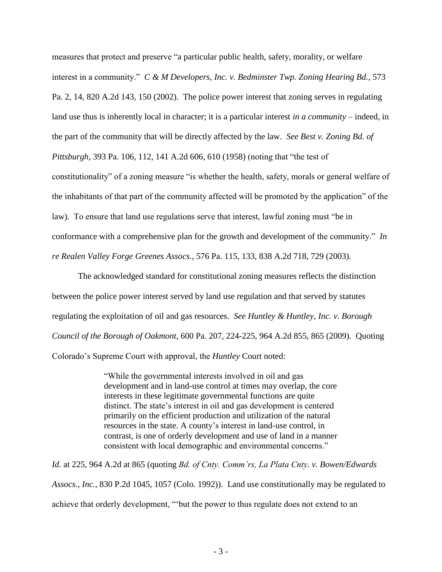<span id="page-7-1"></span>measures that protect and preserve "a particular public health, safety, morality, or welfare interest in a community." *C & M Developers, Inc. v. Bedminster Twp. Zoning Hearing Bd.*, 573 Pa. 2, 14, 820 A.2d 143, 150 (2002). The police power interest that zoning serves in regulating land use thus is inherently local in character; it is a particular interest *in a community* – indeed, in the part of the community that will be directly affected by the law. *See Best v. Zoning Bd. of Pittsburgh*, 393 Pa. 106, 112, 141 A.2d 606, 610 (1958) (noting that "the test of constitutionality" of a zoning measure "is whether the health, safety, morals or general welfare of the inhabitants of that part of the community affected will be promoted by the application" of the law). To ensure that land use regulations serve that interest, lawful zoning must "be in conformance with a comprehensive plan for the growth and development of the community." *In re Realen Valley Forge Greenes Assocs.*, 576 Pa. 115, 133, 838 A.2d 718, 729 (2003).

The acknowledged standard for constitutional zoning measures reflects the distinction between the police power interest served by land use regulation and that served by statutes regulating the exploitation of oil and gas resources. *See Huntley & Huntley, Inc. v. Borough Council of the Borough of Oakmont*, 600 Pa. 207, 224-225, 964 A.2d 855, 865 (2009). Quoting Colorado"s Supreme Court with approval, the *Huntley* Court noted:

> <span id="page-7-3"></span><span id="page-7-2"></span><span id="page-7-0"></span>"While the governmental interests involved in oil and gas development and in land-use control at times may overlap, the core interests in these legitimate governmental functions are quite distinct. The state's interest in oil and gas development is centered primarily on the efficient production and utilization of the natural resources in the state. A county"s interest in land-use control, in contrast, is one of orderly development and use of land in a manner consistent with local demographic and environmental concerns."

*Id.* at 225, 964 A.2d at 865 (quoting *Bd. of Cnty. Comm'rs, La Plata Cnty. v. Bowen/Edwards Assocs., Inc.*, 830 P.2d 1045, 1057 (Colo. 1992)). Land use constitutionally may be regulated to achieve that orderly development, ""but the power to thus regulate does not extend to an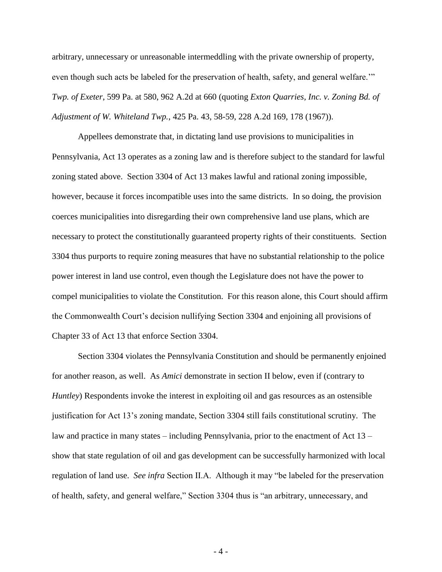<span id="page-8-1"></span><span id="page-8-0"></span>arbitrary, unnecessary or unreasonable intermeddling with the private ownership of property, even though such acts be labeled for the preservation of health, safety, and general welfare."" *Twp. of Exeter*, 599 Pa. at 580, 962 A.2d at 660 (quoting *Exton Quarries, Inc. v. Zoning Bd. of Adjustment of W. Whiteland Twp.*, 425 Pa. 43, 58-59, 228 A.2d 169, 178 (1967)).

Appellees demonstrate that, in dictating land use provisions to municipalities in Pennsylvania, Act 13 operates as a zoning law and is therefore subject to the standard for lawful zoning stated above. Section 3304 of Act 13 makes lawful and rational zoning impossible, however, because it forces incompatible uses into the same districts. In so doing, the provision coerces municipalities into disregarding their own comprehensive land use plans, which are necessary to protect the constitutionally guaranteed property rights of their constituents. Section 3304 thus purports to require zoning measures that have no substantial relationship to the police power interest in land use control, even though the Legislature does not have the power to compel municipalities to violate the Constitution. For this reason alone, this Court should affirm the Commonwealth Court"s decision nullifying Section 3304 and enjoining all provisions of Chapter 33 of Act 13 that enforce Section 3304.

Section 3304 violates the Pennsylvania Constitution and should be permanently enjoined for another reason, as well. As *Amici* demonstrate in section II below, even if (contrary to *Huntley*) Respondents invoke the interest in exploiting oil and gas resources as an ostensible justification for Act 13"s zoning mandate, Section 3304 still fails constitutional scrutiny. The law and practice in many states – including Pennsylvania, prior to the enactment of Act 13 – show that state regulation of oil and gas development can be successfully harmonized with local regulation of land use. *See infra* Section II.A. Although it may "be labeled for the preservation of health, safety, and general welfare," Section 3304 thus is "an arbitrary, unnecessary, and

- 4 -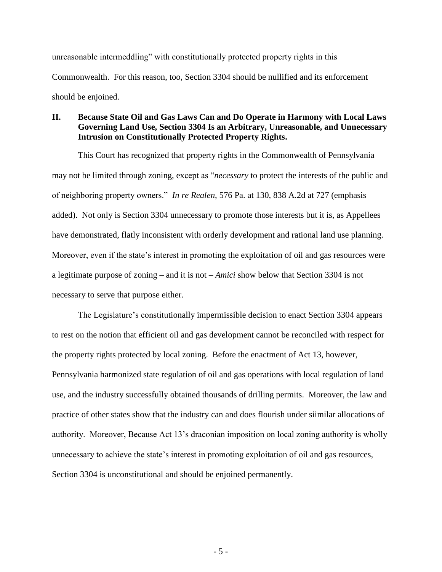unreasonable intermeddling" with constitutionally protected property rights in this Commonwealth. For this reason, too, Section 3304 should be nullified and its enforcement should be enjoined.

# <span id="page-9-0"></span>**II. Because State Oil and Gas Laws Can and Do Operate in Harmony with Local Laws Governing Land Use, Section 3304 Is an Arbitrary, Unreasonable, and Unnecessary Intrusion on Constitutionally Protected Property Rights.**

<span id="page-9-1"></span>This Court has recognized that property rights in the Commonwealth of Pennsylvania may not be limited through zoning, except as "*necessary* to protect the interests of the public and of neighboring property owners." *In re Realen*, 576 Pa. at 130, 838 A.2d at 727 (emphasis added). Not only is Section 3304 unnecessary to promote those interests but it is, as Appellees have demonstrated, flatly inconsistent with orderly development and rational land use planning. Moreover, even if the state"s interest in promoting the exploitation of oil and gas resources were a legitimate purpose of zoning – and it is not – *Amici* show below that Section 3304 is not necessary to serve that purpose either.

The Legislature's constitutionally impermissible decision to enact Section 3304 appears to rest on the notion that efficient oil and gas development cannot be reconciled with respect for the property rights protected by local zoning. Before the enactment of Act 13, however, Pennsylvania harmonized state regulation of oil and gas operations with local regulation of land use, and the industry successfully obtained thousands of drilling permits. Moreover, the law and practice of other states show that the industry can and does flourish under siimilar allocations of authority. Moreover, Because Act 13"s draconian imposition on local zoning authority is wholly unnecessary to achieve the state's interest in promoting exploitation of oil and gas resources, Section 3304 is unconstitutional and should be enjoined permanently.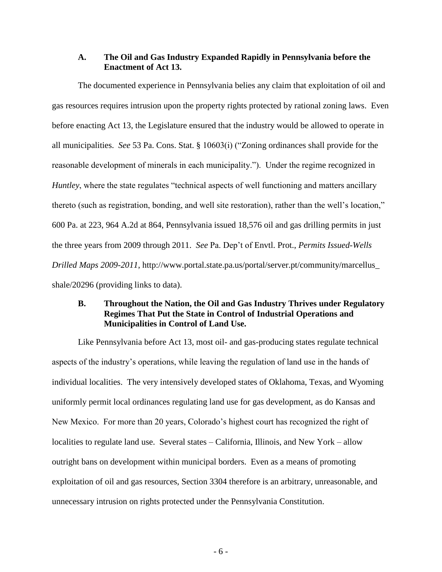# <span id="page-10-0"></span>**A. The Oil and Gas Industry Expanded Rapidly in Pennsylvania before the Enactment of Act 13.**

The documented experience in Pennsylvania belies any claim that exploitation of oil and gas resources requires intrusion upon the property rights protected by rational zoning laws. Even before enacting Act 13, the Legislature ensured that the industry would be allowed to operate in all municipalities. *See* 53 Pa. Cons. Stat. § 10603(i) ("Zoning ordinances shall provide for the reasonable development of minerals in each municipality."). Under the regime recognized in *Huntley*, where the state regulates "technical aspects of well functioning and matters ancillary thereto (such as registration, bonding, and well site restoration), rather than the well"s location," 600 Pa. at 223, 964 A.2d at 864, Pennsylvania issued 18,576 oil and gas drilling permits in just the three years from 2009 through 2011. *See* Pa. Dep"t of Envtl. Prot., *Permits Issued-Wells Drilled Maps 2009-2011*, http://www.portal.state.pa.us/portal/server.pt/community/marcellus\_ shale/20296 (providing links to data).

# <span id="page-10-1"></span>**B. Throughout the Nation, the Oil and Gas Industry Thrives under Regulatory Regimes That Put the State in Control of Industrial Operations and Municipalities in Control of Land Use.**

Like Pennsylvania before Act 13, most oil- and gas-producing states regulate technical aspects of the industry"s operations, while leaving the regulation of land use in the hands of individual localities. The very intensively developed states of Oklahoma, Texas, and Wyoming uniformly permit local ordinances regulating land use for gas development, as do Kansas and New Mexico. For more than 20 years, Colorado"s highest court has recognized the right of localities to regulate land use. Several states – California, Illinois, and New York – allow outright bans on development within municipal borders. Even as a means of promoting exploitation of oil and gas resources, Section 3304 therefore is an arbitrary, unreasonable, and unnecessary intrusion on rights protected under the Pennsylvania Constitution.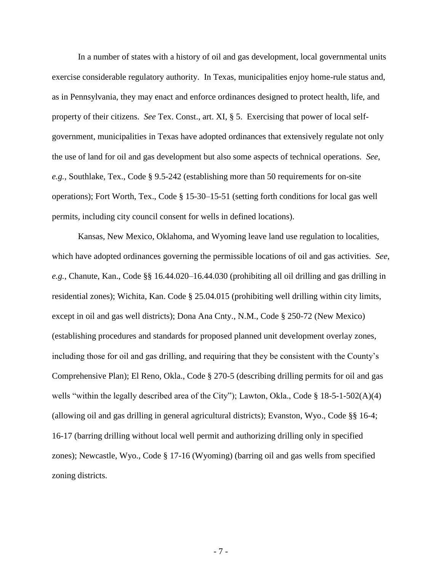In a number of states with a history of oil and gas development, local governmental units exercise considerable regulatory authority. In Texas, municipalities enjoy home-rule status and, as in Pennsylvania, they may enact and enforce ordinances designed to protect health, life, and property of their citizens. *See* Tex. Const., art. XI, § 5. Exercising that power of local selfgovernment, municipalities in Texas have adopted ordinances that extensively regulate not only the use of land for oil and gas development but also some aspects of technical operations. *See*, *e.g.*, Southlake, Tex., Code § 9.5-242 (establishing more than 50 requirements for on-site operations); Fort Worth, Tex., Code § 15-30–15-51 (setting forth conditions for local gas well permits, including city council consent for wells in defined locations).

Kansas, New Mexico, Oklahoma, and Wyoming leave land use regulation to localities, which have adopted ordinances governing the permissible locations of oil and gas activities. *See*, *e.g.*, Chanute, Kan., Code §§ 16.44.020–16.44.030 (prohibiting all oil drilling and gas drilling in residential zones); Wichita, Kan. Code § 25.04.015 (prohibiting well drilling within city limits, except in oil and gas well districts); Dona Ana Cnty., N.M., Code § 250-72 (New Mexico) (establishing procedures and standards for proposed planned unit development overlay zones, including those for oil and gas drilling, and requiring that they be consistent with the County"s Comprehensive Plan); El Reno, Okla., Code § 270-5 (describing drilling permits for oil and gas wells "within the legally described area of the City"); Lawton, Okla., Code § 18-5-1-502(A)(4) (allowing oil and gas drilling in general agricultural districts); Evanston, Wyo., Code §§ 16-4; 16-17 (barring drilling without local well permit and authorizing drilling only in specified zones); Newcastle, Wyo., Code § 17-16 (Wyoming) (barring oil and gas wells from specified zoning districts.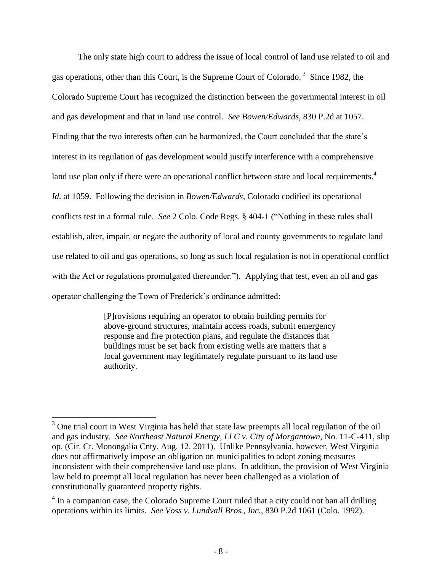The only state high court to address the issue of local control of land use related to oil and gas operations, other than this Court, is the Supreme Court of Colorado.<sup>3</sup> Since 1982, the Colorado Supreme Court has recognized the distinction between the governmental interest in oil and gas development and that in land use control. *See Bowen/Edwards*, 830 P.2d at 1057. Finding that the two interests often can be harmonized, the Court concluded that the state's interest in its regulation of gas development would justify interference with a comprehensive land use plan only if there were an operational conflict between state and local requirements.<sup>4</sup> *Id.* at 1059. Following the decision in *Bowen/Edwards*, Colorado codified its operational conflicts test in a formal rule. *See* 2 Colo. Code Regs. § 404-1 ("Nothing in these rules shall establish, alter, impair, or negate the authority of local and county governments to regulate land use related to oil and gas operations, so long as such local regulation is not in operational conflict with the Act or regulations promulgated thereunder."). Applying that test, even an oil and gas operator challenging the Town of Frederick"s ordinance admitted:

> [P]rovisions requiring an operator to obtain building permits for above-ground structures, maintain access roads, submit emergency response and fire protection plans, and regulate the distances that buildings must be set back from existing wells are matters that a local government may legitimately regulate pursuant to its land use authority.

 $\overline{a}$ 

 $3$  One trial court in West Virginia has held that state law preempts all local regulation of the oil and gas industry. *See Northeast Natural Energy, LLC v. City of Morgantown*, No. 11-C-411, slip op. (Cir. Ct. Monongalia Cnty. Aug. 12, 2011). Unlike Pennsylvania, however, West Virginia does not affirmatively impose an obligation on municipalities to adopt zoning measures inconsistent with their comprehensive land use plans. In addition, the provision of West Virginia law held to preempt all local regulation has never been challenged as a violation of constitutionally guaranteed property rights.

 $4 \text{ In a companion case, the Colorado Supreme Court ruled that a city could not ban all drilling.}$ operations within its limits. *See Voss v. Lundvall Bros., Inc.*, 830 P.2d 1061 (Colo. 1992).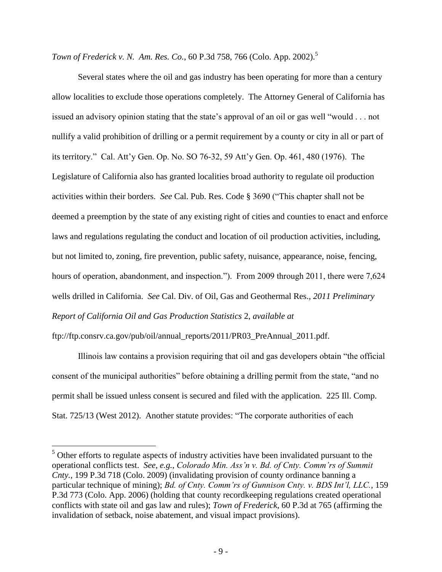*Town of Frederick v. N. Am. Res. Co.*, 60 P.3d 758, 766 (Colo. App. 2002).<sup>5</sup>

<span id="page-13-2"></span><span id="page-13-1"></span>Several states where the oil and gas industry has been operating for more than a century allow localities to exclude those operations completely. The Attorney General of California has issued an advisory opinion stating that the state"s approval of an oil or gas well "would . . . not nullify a valid prohibition of drilling or a permit requirement by a county or city in all or part of its territory." Cal. Att'y Gen. Op. No. SO 76-32, 59 Att'y Gen. Op. 461, 480 (1976). The Legislature of California also has granted localities broad authority to regulate oil production activities within their borders. *See* Cal. Pub. Res. Code § 3690 ("This chapter shall not be deemed a preemption by the state of any existing right of cities and counties to enact and enforce laws and regulations regulating the conduct and location of oil production activities, including, but not limited to, zoning, fire prevention, public safety, nuisance, appearance, noise, fencing, hours of operation, abandonment, and inspection."). From 2009 through 2011, there were 7,624 wells drilled in California. *See* Cal. Div. of Oil, Gas and Geothermal Res., *2011 Preliminary Report of California Oil and Gas Production Statistics* 2, *available at* 

<span id="page-13-3"></span>ftp://ftp.consrv.ca.gov/pub/oil/annual\_reports/2011/PR03\_PreAnnual\_2011.pdf.

 $\overline{a}$ 

<span id="page-13-0"></span>Illinois law contains a provision requiring that oil and gas developers obtain "the official consent of the municipal authorities" before obtaining a drilling permit from the state, "and no permit shall be issued unless consent is secured and filed with the application. 225 Ill. Comp. Stat. 725/13 (West 2012). Another statute provides: "The corporate authorities of each

<sup>&</sup>lt;sup>5</sup> Other efforts to regulate aspects of industry activities have been invalidated pursuant to the operational conflicts test. *See*, *e.g.*, *Colorado Min. Ass'n v. Bd. of Cnty. Comm'rs of Summit Cnty.*, 199 P.3d 718 (Colo. 2009) (invalidating provision of county ordinance banning a particular technique of mining); *Bd. of Cnty. Comm'rs of Gunnison Cnty. v. BDS Int'l, LLC.*, 159 P.3d 773 (Colo. App. 2006) (holding that county recordkeeping regulations created operational conflicts with state oil and gas law and rules); *Town of Frederick*, 60 P.3d at 765 (affirming the invalidation of setback, noise abatement, and visual impact provisions).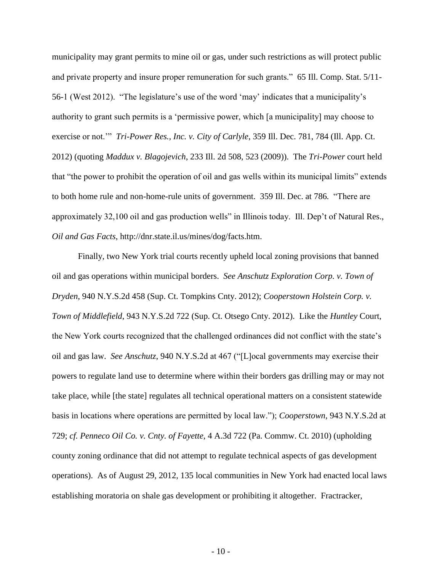<span id="page-14-5"></span><span id="page-14-4"></span><span id="page-14-2"></span>municipality may grant permits to mine oil or gas, under such restrictions as will protect public and private property and insure proper remuneration for such grants." 65 Ill. Comp. Stat. 5/11- 56-1 (West 2012). "The legislature"s use of the word "may" indicates that a municipality"s authority to grant such permits is a "permissive power, which [a municipality] may choose to exercise or not."" *Tri-Power Res., Inc. v. City of Carlyle*, 359 Ill. Dec. 781, 784 (Ill. App. Ct. 2012) (quoting *Maddux v. Blagojevich*, 233 Ill. 2d 508, 523 (2009)). The *Tri-Power* court held that "the power to prohibit the operation of oil and gas wells within its municipal limits" extends to both home rule and non-home-rule units of government. 359 Ill. Dec. at 786*.* "There are approximately 32,100 oil and gas production wells" in Illinois today. Ill. Dep"t of Natural Res., *Oil and Gas Facts*, http://dnr.state.il.us/mines/dog/facts.htm.

<span id="page-14-7"></span><span id="page-14-6"></span><span id="page-14-3"></span><span id="page-14-1"></span><span id="page-14-0"></span>Finally, two New York trial courts recently upheld local zoning provisions that banned oil and gas operations within municipal borders. *See Anschutz Exploration Corp. v. Town of Dryden*, 940 N.Y.S.2d 458 (Sup. Ct. Tompkins Cnty. 2012); *Cooperstown Holstein Corp. v. Town of Middlefield*, 943 N.Y.S.2d 722 (Sup. Ct. Otsego Cnty. 2012). Like the *Huntley* Court, the New York courts recognized that the challenged ordinances did not conflict with the state"s oil and gas law. *See Anschutz*, 940 N.Y.S.2d at 467 ("[L]ocal governments may exercise their powers to regulate land use to determine where within their borders gas drilling may or may not take place, while [the state] regulates all technical operational matters on a consistent statewide basis in locations where operations are permitted by local law."); *Cooperstown*, 943 N.Y.S.2d at 729; *cf. Penneco Oil Co. v. Cnty. of Fayette*, 4 A.3d 722 (Pa. Commw. Ct. 2010) (upholding county zoning ordinance that did not attempt to regulate technical aspects of gas development operations). As of August 29, 2012, 135 local communities in New York had enacted local laws establishing moratoria on shale gas development or prohibiting it altogether. Fractracker,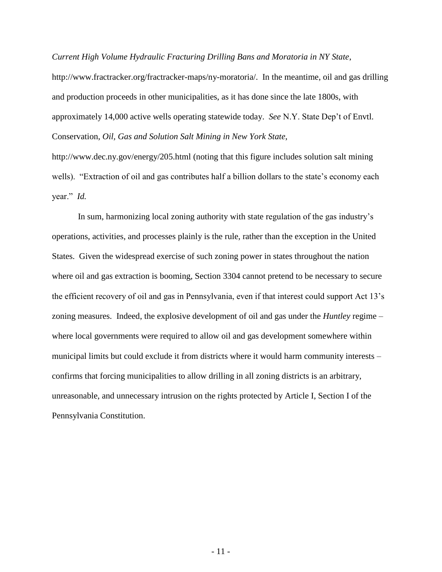*Current High Volume Hydraulic Fracturing Drilling Bans and Moratoria in NY State*,

<span id="page-15-0"></span>http://www.fractracker.org/fractracker-maps/ny-moratoria/. In the meantime, oil and gas drilling and production proceeds in other municipalities, as it has done since the late 1800s, with approximately 14,000 active wells operating statewide today. *See* N.Y. State Dep"t of Envtl. Conservation, *Oil, Gas and Solution Salt Mining in New York State*,

http://www.dec.ny.gov/energy/205.html (noting that this figure includes solution salt mining wells). "Extraction of oil and gas contributes half a billion dollars to the state's economy each year." *Id.*

In sum, harmonizing local zoning authority with state regulation of the gas industry"s operations, activities, and processes plainly is the rule, rather than the exception in the United States. Given the widespread exercise of such zoning power in states throughout the nation where oil and gas extraction is booming, Section 3304 cannot pretend to be necessary to secure the efficient recovery of oil and gas in Pennsylvania, even if that interest could support Act 13"s zoning measures. Indeed, the explosive development of oil and gas under the *Huntley* regime – where local governments were required to allow oil and gas development somewhere within municipal limits but could exclude it from districts where it would harm community interests – confirms that forcing municipalities to allow drilling in all zoning districts is an arbitrary, unreasonable, and unnecessary intrusion on the rights protected by Article I, Section I of the Pennsylvania Constitution.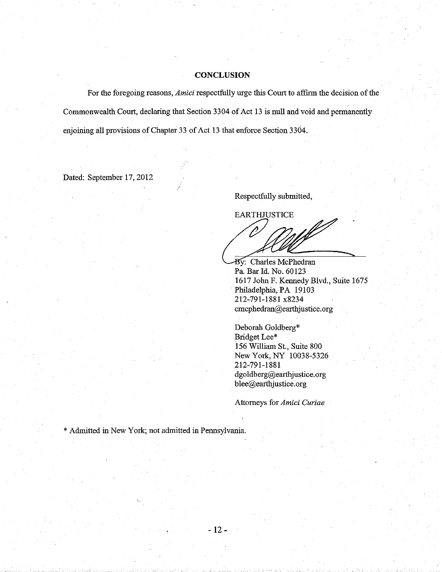#### **CONCLUSION**

For the foregoing reasons, *Amici* respectfully urge this Court to affirm the decision of the Commonwealth Court, declaring that Section 3304 of Act 13 is null and void and permanently enjoining all provisions of Chapter 33 of Act 13 that enforce Section 3304.

.

 $-12-$ 

Dated: September l7, 2012

Respectfully submitted,

**EARTHJUSTICE** W

By: Charles McPhedran Pa. Bar Id. No. 60123 1617 John F. Kennedy Blvd., Suite 1675 Philadelphia, PA 19103 212-797-7887 x8234 cmcphedran@earthjustice. org

Deborah Goldberg\* Bridget Lee\* 156 William St., Suite 800 New York, NY 10038-5326 2t2-791-t88t dgoldberg@earthjustice.org blee@earthjustice.org

Attomeys for Amici Curiae

\* Admitted in New York; not admitted in Pennsylvania.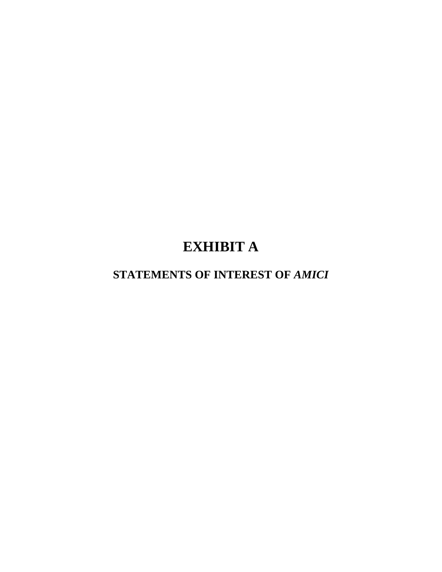# **EXHIBIT A**

# **STATEMENTS OF INTEREST OF** *AMICI*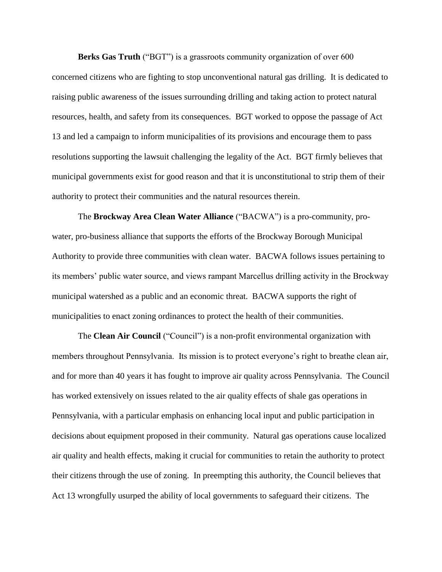**Berks Gas Truth** ("BGT") is a grassroots community organization of over 600 concerned citizens who are fighting to stop unconventional natural gas drilling. It is dedicated to raising public awareness of the issues surrounding drilling and taking action to protect natural resources, health, and safety from its consequences. BGT worked to oppose the passage of Act 13 and led a campaign to inform municipalities of its provisions and encourage them to pass resolutions supporting the lawsuit challenging the legality of the Act. BGT firmly believes that municipal governments exist for good reason and that it is unconstitutional to strip them of their authority to protect their communities and the natural resources therein.

The **Brockway Area Clean Water Alliance** ("BACWA") is a pro-community, prowater, pro-business alliance that supports the efforts of the Brockway Borough Municipal Authority to provide three communities with clean water. BACWA follows issues pertaining to its members' public water source, and views rampant Marcellus drilling activity in the Brockway municipal watershed as a public and an economic threat. BACWA supports the right of municipalities to enact zoning ordinances to protect the health of their communities.

The **Clean Air Council** ("Council") is a non-profit environmental organization with members throughout Pennsylvania. Its mission is to protect everyone's right to breathe clean air, and for more than 40 years it has fought to improve air quality across Pennsylvania. The Council has worked extensively on issues related to the air quality effects of shale gas operations in Pennsylvania, with a particular emphasis on enhancing local input and public participation in decisions about equipment proposed in their community. Natural gas operations cause localized air quality and health effects, making it crucial for communities to retain the authority to protect their citizens through the use of zoning. In preempting this authority, the Council believes that Act 13 wrongfully usurped the ability of local governments to safeguard their citizens. The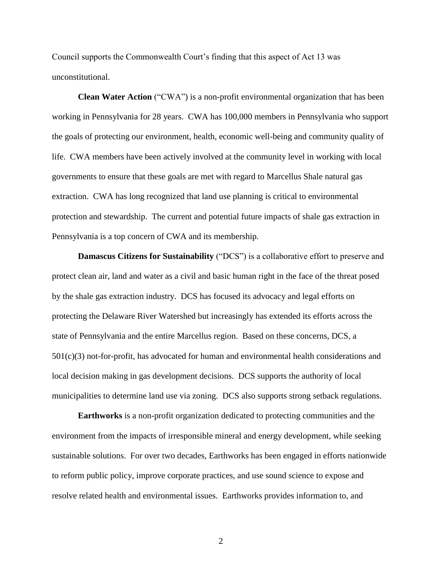Council supports the Commonwealth Court's finding that this aspect of Act 13 was unconstitutional.

**Clean Water Action** ("CWA") is a non-profit environmental organization that has been working in Pennsylvania for 28 years. CWA has 100,000 members in Pennsylvania who support the goals of protecting our environment, health, economic well-being and community quality of life. CWA members have been actively involved at the community level in working with local governments to ensure that these goals are met with regard to Marcellus Shale natural gas extraction. CWA has long recognized that land use planning is critical to environmental protection and stewardship. The current and potential future impacts of shale gas extraction in Pennsylvania is a top concern of CWA and its membership.

**Damascus Citizens for Sustainability** ("DCS") is a collaborative effort to preserve and protect clean air, land and water as a civil and basic human right in the face of the threat posed by the shale gas extraction industry. DCS has focused its advocacy and legal efforts on protecting the Delaware River Watershed but increasingly has extended its efforts across the state of Pennsylvania and the entire Marcellus region. Based on these concerns, DCS, a 501(c)(3) not-for-profit, has advocated for human and environmental health considerations and local decision making in gas development decisions. DCS supports the authority of local municipalities to determine land use via zoning. DCS also supports strong setback regulations.

**Earthworks** is a non-profit organization dedicated to protecting communities and the environment from the impacts of irresponsible mineral and energy development, while seeking sustainable solutions. For over two decades, Earthworks has been engaged in efforts nationwide to reform public policy, improve corporate practices, and use sound science to expose and resolve related health and environmental issues. Earthworks provides information to, and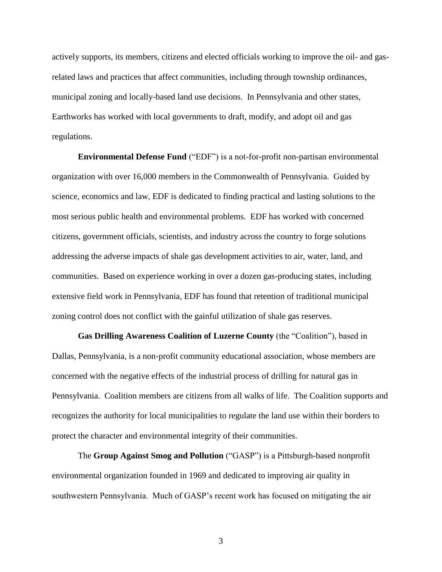actively supports, its members, citizens and elected officials working to improve the oil- and gasrelated laws and practices that affect communities, including through township ordinances, municipal zoning and locally-based land use decisions. In Pennsylvania and other states, Earthworks has worked with local governments to draft, modify, and adopt oil and gas regulations.

**Environmental Defense Fund** ("EDF") is a not-for-profit non-partisan environmental organization with over 16,000 members in the Commonwealth of Pennsylvania. Guided by science, economics and law, EDF is dedicated to finding practical and lasting solutions to the most serious public health and environmental problems. EDF has worked with concerned citizens, government officials, scientists, and industry across the country to forge solutions addressing the adverse impacts of shale gas development activities to air, water, land, and communities. Based on experience working in over a dozen gas-producing states, including extensive field work in Pennsylvania, EDF has found that retention of traditional municipal zoning control does not conflict with the gainful utilization of shale gas reserves.

**Gas Drilling Awareness Coalition of Luzerne County** (the "Coalition"), based in Dallas, Pennsylvania, is a non-profit community educational association, whose members are concerned with the negative effects of the industrial process of drilling for natural gas in Pennsylvania. Coalition members are citizens from all walks of life. The Coalition supports and recognizes the authority for local municipalities to regulate the land use within their borders to protect the character and environmental integrity of their communities.

The **Group Against Smog and Pollution** ("GASP") is a Pittsburgh-based nonprofit environmental organization founded in 1969 and dedicated to improving air quality in southwestern Pennsylvania. Much of GASP's recent work has focused on mitigating the air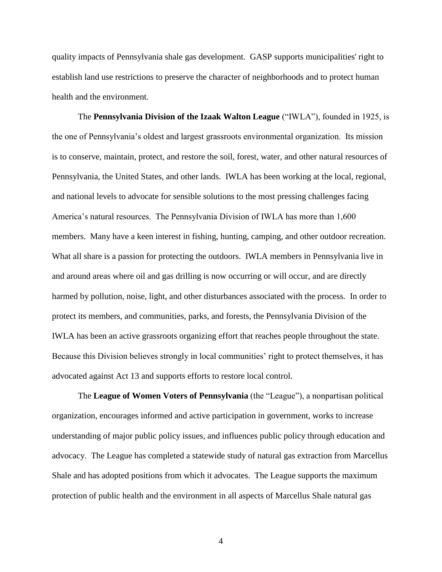quality impacts of Pennsylvania shale gas development. GASP supports municipalities' right to establish land use restrictions to preserve the character of neighborhoods and to protect human health and the environment.

The **Pennsylvania Division of the Izaak Walton League** ("IWLA"), founded in 1925, is the one of Pennsylvania's oldest and largest grassroots environmental organization. Its mission is to conserve, maintain, protect, and restore the soil, forest, water, and other natural resources of Pennsylvania, the United States, and other lands. IWLA has been working at the local, regional, and national levels to advocate for sensible solutions to the most pressing challenges facing America's natural resources. The Pennsylvania Division of IWLA has more than 1,600 members. Many have a keen interest in fishing, hunting, camping, and other outdoor recreation. What all share is a passion for protecting the outdoors. IWLA members in Pennsylvania live in and around areas where oil and gas drilling is now occurring or will occur, and are directly harmed by pollution, noise, light, and other disturbances associated with the process. In order to protect its members, and communities, parks, and forests, the Pennsylvania Division of the IWLA has been an active grassroots organizing effort that reaches people throughout the state. Because this Division believes strongly in local communities' right to protect themselves, it has advocated against Act 13 and supports efforts to restore local control.

The **League of Women Voters of Pennsylvania** (the "League"), a nonpartisan political organization, encourages informed and active participation in government, works to increase understanding of major public policy issues, and influences public policy through education and advocacy. The League has completed a statewide study of natural gas extraction from Marcellus Shale and has adopted positions from which it advocates. The League supports the maximum protection of public health and the environment in all aspects of Marcellus Shale natural gas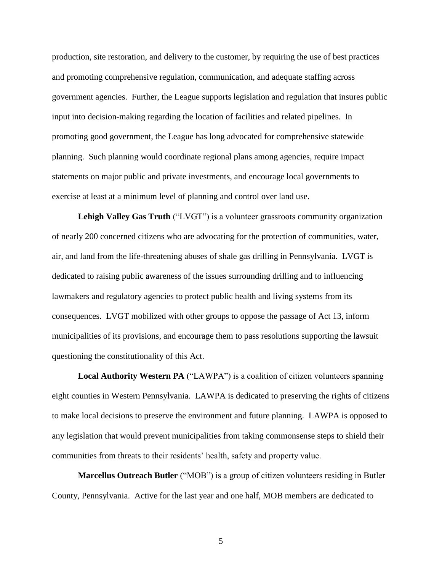production, site restoration, and delivery to the customer, by requiring the use of best practices and promoting comprehensive regulation, communication, and adequate staffing across government agencies. Further, the League supports legislation and regulation that insures public input into decision-making regarding the location of facilities and related pipelines. In promoting good government, the League has long advocated for comprehensive statewide planning. Such planning would coordinate regional plans among agencies, require impact statements on major public and private investments, and encourage local governments to exercise at least at a minimum level of planning and control over land use.

**Lehigh Valley Gas Truth** ("LVGT") is a volunteer grassroots community organization of nearly 200 concerned citizens who are advocating for the protection of communities, water, air, and land from the life-threatening abuses of shale gas drilling in Pennsylvania. LVGT is dedicated to raising public awareness of the issues surrounding drilling and to influencing lawmakers and regulatory agencies to protect public health and living systems from its consequences. LVGT mobilized with other groups to oppose the passage of Act 13, inform municipalities of its provisions, and encourage them to pass resolutions supporting the lawsuit questioning the constitutionality of this Act.

**Local Authority Western PA** ("LAWPA") is a coalition of citizen volunteers spanning eight counties in Western Pennsylvania. LAWPA is dedicated to preserving the rights of citizens to make local decisions to preserve the environment and future planning. LAWPA is opposed to any legislation that would prevent municipalities from taking commonsense steps to shield their communities from threats to their residents' health, safety and property value.

**Marcellus Outreach Butler** ("MOB") is a group of citizen volunteers residing in Butler County, Pennsylvania. Active for the last year and one half, MOB members are dedicated to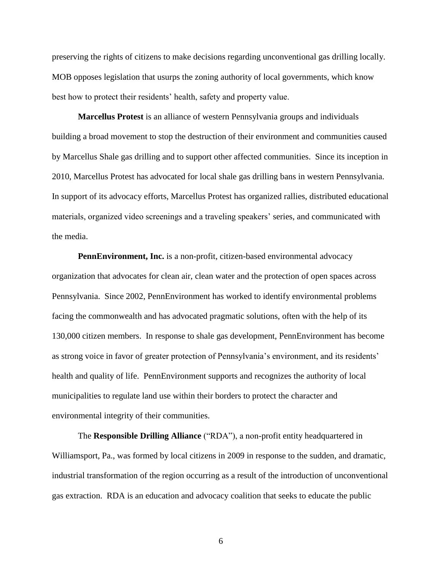preserving the rights of citizens to make decisions regarding unconventional gas drilling locally. MOB opposes legislation that usurps the zoning authority of local governments, which know best how to protect their residents' health, safety and property value.

**Marcellus Protest** is an alliance of western Pennsylvania groups and individuals building a broad movement to stop the destruction of their environment and communities caused by Marcellus Shale gas drilling and to support other affected communities. Since its inception in 2010, Marcellus Protest has advocated for local shale gas drilling bans in western Pennsylvania. In support of its advocacy efforts, Marcellus Protest has organized rallies, distributed educational materials, organized video screenings and a traveling speakers' series, and communicated with the media.

**PennEnvironment, Inc.** is a non-profit, citizen-based environmental advocacy organization that advocates for clean air, clean water and the protection of open spaces across Pennsylvania. Since 2002, PennEnvironment has worked to identify environmental problems facing the commonwealth and has advocated pragmatic solutions, often with the help of its 130,000 citizen members. In response to shale gas development, PennEnvironment has become as strong voice in favor of greater protection of Pennsylvania's environment, and its residents' health and quality of life. PennEnvironment supports and recognizes the authority of local municipalities to regulate land use within their borders to protect the character and environmental integrity of their communities.

The **Responsible Drilling Alliance** ("RDA"), a non-profit entity headquartered in Williamsport, Pa., was formed by local citizens in 2009 in response to the sudden, and dramatic, industrial transformation of the region occurring as a result of the introduction of unconventional gas extraction. RDA is an education and advocacy coalition that seeks to educate the public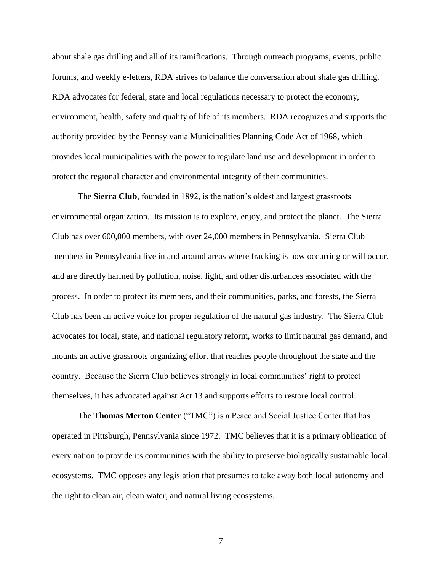about shale gas drilling and all of its ramifications. Through outreach programs, events, public forums, and weekly e-letters, RDA strives to balance the conversation about shale gas drilling. RDA advocates for federal, state and local regulations necessary to protect the economy, environment, health, safety and quality of life of its members. RDA recognizes and supports the authority provided by the Pennsylvania Municipalities Planning Code Act of 1968, which provides local municipalities with the power to regulate land use and development in order to protect the regional character and environmental integrity of their communities.

The **Sierra Club**, founded in 1892, is the nation's oldest and largest grassroots environmental organization. Its mission is to explore, enjoy, and protect the planet. The Sierra Club has over 600,000 members, with over 24,000 members in Pennsylvania. Sierra Club members in Pennsylvania live in and around areas where fracking is now occurring or will occur, and are directly harmed by pollution, noise, light, and other disturbances associated with the process. In order to protect its members, and their communities, parks, and forests, the Sierra Club has been an active voice for proper regulation of the natural gas industry. The Sierra Club advocates for local, state, and national regulatory reform, works to limit natural gas demand, and mounts an active grassroots organizing effort that reaches people throughout the state and the country. Because the Sierra Club believes strongly in local communities' right to protect themselves, it has advocated against Act 13 and supports efforts to restore local control.

The **Thomas Merton Center** ("TMC") is a Peace and Social Justice Center that has operated in Pittsburgh, Pennsylvania since 1972. TMC believes that it is a primary obligation of every nation to provide its communities with the ability to preserve biologically sustainable local ecosystems. TMC opposes any legislation that presumes to take away both local autonomy and the right to clean air, clean water, and natural living ecosystems.